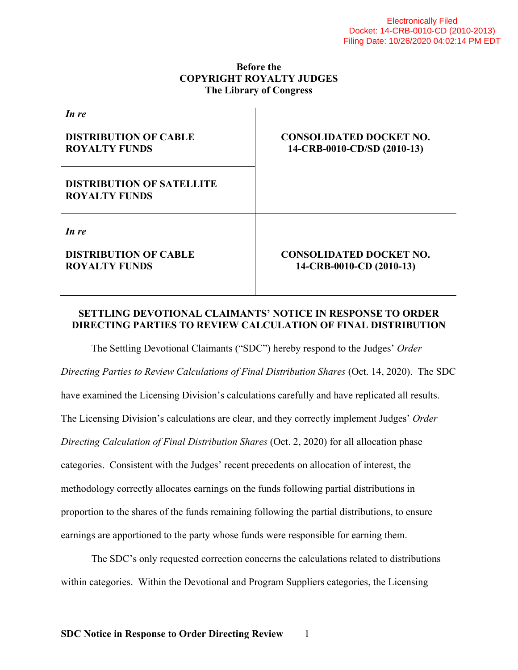## **Before the COPYRIGHT ROYALTY JUDGES The Library of Congress**

| In re                                                    |                                                               |
|----------------------------------------------------------|---------------------------------------------------------------|
| <b>DISTRIBUTION OF CABLE</b><br><b>ROYALTY FUNDS</b>     | <b>CONSOLIDATED DOCKET NO.</b><br>14-CRB-0010-CD/SD (2010-13) |
| <b>DISTRIBUTION OF SATELLITE</b><br><b>ROYALTY FUNDS</b> |                                                               |
| In re                                                    |                                                               |
| <b>DISTRIBUTION OF CABLE</b><br><b>ROYALTY FUNDS</b>     | <b>CONSOLIDATED DOCKET NO.</b><br>14-CRB-0010-CD (2010-13)    |

## **SETTLING DEVOTIONAL CLAIMANTS' NOTICE IN RESPONSE TO ORDER DIRECTING PARTIES TO REVIEW CALCULATION OF FINAL DISTRIBUTION**

 The Settling Devotional Claimants ("SDC") hereby respond to the Judges' *Order Directing Parties to Review Calculations of Final Distribution Shares* (Oct. 14, 2020). The SDC have examined the Licensing Division's calculations carefully and have replicated all results. The Licensing Division's calculations are clear, and they correctly implement Judges' *Order Directing Calculation of Final Distribution Shares* (Oct. 2, 2020) for all allocation phase categories. Consistent with the Judges' recent precedents on allocation of interest, the methodology correctly allocates earnings on the funds following partial distributions in proportion to the shares of the funds remaining following the partial distributions, to ensure earnings are apportioned to the party whose funds were responsible for earning them.

 The SDC's only requested correction concerns the calculations related to distributions within categories. Within the Devotional and Program Suppliers categories, the Licensing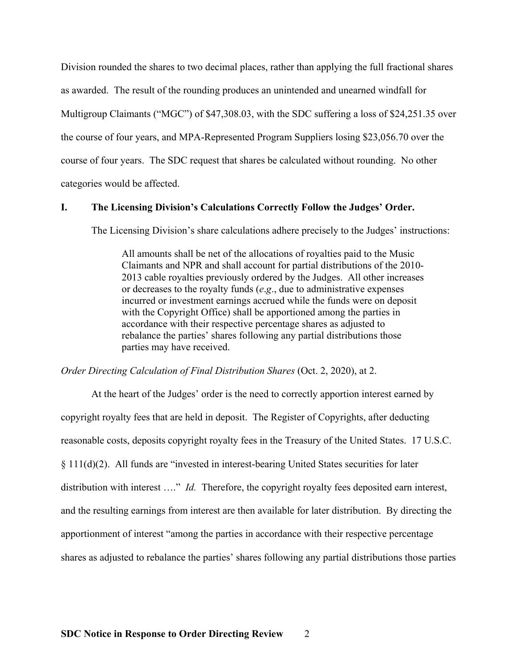Division rounded the shares to two decimal places, rather than applying the full fractional shares as awarded. The result of the rounding produces an unintended and unearned windfall for Multigroup Claimants ("MGC") of \$47,308.03, with the SDC suffering a loss of \$24,251.35 over the course of four years, and MPA-Represented Program Suppliers losing \$23,056.70 over the course of four years. The SDC request that shares be calculated without rounding. No other categories would be affected.

#### **I. The Licensing Division's Calculations Correctly Follow the Judges' Order.**

The Licensing Division's share calculations adhere precisely to the Judges' instructions:

All amounts shall be net of the allocations of royalties paid to the Music Claimants and NPR and shall account for partial distributions of the 2010- 2013 cable royalties previously ordered by the Judges. All other increases or decreases to the royalty funds (*e*.*g*., due to administrative expenses incurred or investment earnings accrued while the funds were on deposit with the Copyright Office) shall be apportioned among the parties in accordance with their respective percentage shares as adjusted to rebalance the parties' shares following any partial distributions those parties may have received.

*Order Directing Calculation of Final Distribution Shares* (Oct. 2, 2020), at 2.

 At the heart of the Judges' order is the need to correctly apportion interest earned by copyright royalty fees that are held in deposit. The Register of Copyrights, after deducting reasonable costs, deposits copyright royalty fees in the Treasury of the United States. 17 U.S.C. § 111(d)(2). All funds are "invested in interest-bearing United States securities for later distribution with interest …." *Id.* Therefore, the copyright royalty fees deposited earn interest, and the resulting earnings from interest are then available for later distribution. By directing the apportionment of interest "among the parties in accordance with their respective percentage shares as adjusted to rebalance the parties' shares following any partial distributions those parties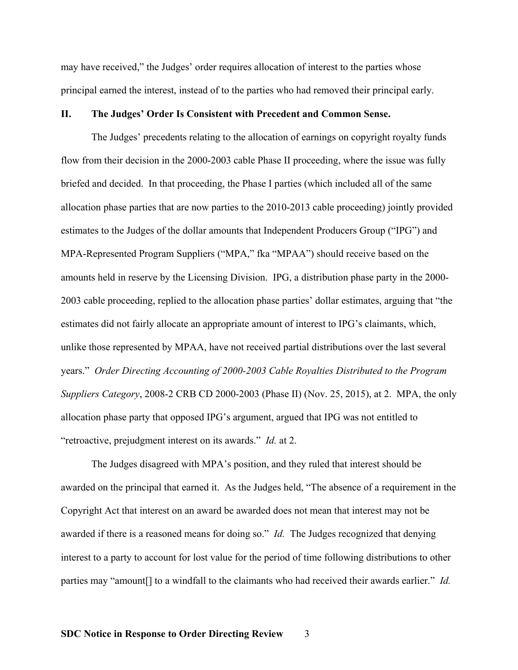may have received," the Judges' order requires allocation of interest to the parties whose principal earned the interest, instead of to the parties who had removed their principal early.

#### **II. The Judges' Order Is Consistent with Precedent and Common Sense.**

 The Judges' precedents relating to the allocation of earnings on copyright royalty funds flow from their decision in the 2000-2003 cable Phase II proceeding, where the issue was fully briefed and decided. In that proceeding, the Phase I parties (which included all of the same allocation phase parties that are now parties to the 2010-2013 cable proceeding) jointly provided estimates to the Judges of the dollar amounts that Independent Producers Group ("IPG") and MPA-Represented Program Suppliers ("MPA," fka "MPAA") should receive based on the amounts held in reserve by the Licensing Division. IPG, a distribution phase party in the 2000- 2003 cable proceeding, replied to the allocation phase parties' dollar estimates, arguing that "the estimates did not fairly allocate an appropriate amount of interest to IPG's claimants, which, unlike those represented by MPAA, have not received partial distributions over the last several years." *Order Directing Accounting of 2000-2003 Cable Royalties Distributed to the Program Suppliers Category*, 2008-2 CRB CD 2000-2003 (Phase II) (Nov. 25, 2015), at 2. MPA, the only allocation phase party that opposed IPG's argument, argued that IPG was not entitled to "retroactive, prejudgment interest on its awards." *Id.* at 2.

 The Judges disagreed with MPA's position, and they ruled that interest should be awarded on the principal that earned it. As the Judges held, "The absence of a requirement in the Copyright Act that interest on an award be awarded does not mean that interest may not be awarded if there is a reasoned means for doing so." *Id.* The Judges recognized that denying interest to a party to account for lost value for the period of time following distributions to other parties may "amount[] to a windfall to the claimants who had received their awards earlier." *Id.*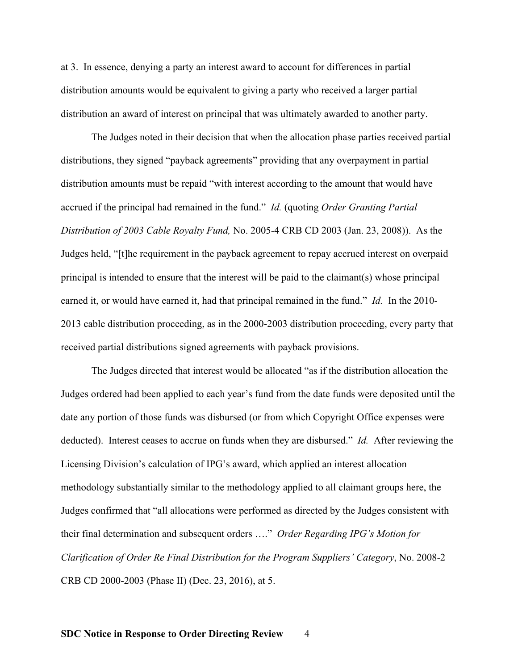at 3. In essence, denying a party an interest award to account for differences in partial distribution amounts would be equivalent to giving a party who received a larger partial distribution an award of interest on principal that was ultimately awarded to another party.

 The Judges noted in their decision that when the allocation phase parties received partial distributions, they signed "payback agreements" providing that any overpayment in partial distribution amounts must be repaid "with interest according to the amount that would have accrued if the principal had remained in the fund." *Id.* (quoting *Order Granting Partial Distribution of 2003 Cable Royalty Fund,* No. 2005-4 CRB CD 2003 (Jan. 23, 2008)). As the Judges held, "[t]he requirement in the payback agreement to repay accrued interest on overpaid principal is intended to ensure that the interest will be paid to the claimant(s) whose principal earned it, or would have earned it, had that principal remained in the fund." *Id.* In the 2010- 2013 cable distribution proceeding, as in the 2000-2003 distribution proceeding, every party that received partial distributions signed agreements with payback provisions.

 The Judges directed that interest would be allocated "as if the distribution allocation the Judges ordered had been applied to each year's fund from the date funds were deposited until the date any portion of those funds was disbursed (or from which Copyright Office expenses were deducted). Interest ceases to accrue on funds when they are disbursed." *Id.* After reviewing the Licensing Division's calculation of IPG's award, which applied an interest allocation methodology substantially similar to the methodology applied to all claimant groups here, the Judges confirmed that "all allocations were performed as directed by the Judges consistent with their final determination and subsequent orders …." *Order Regarding IPG's Motion for Clarification of Order Re Final Distribution for the Program Suppliers' Category*, No. 2008-2 CRB CD 2000-2003 (Phase II) (Dec. 23, 2016), at 5.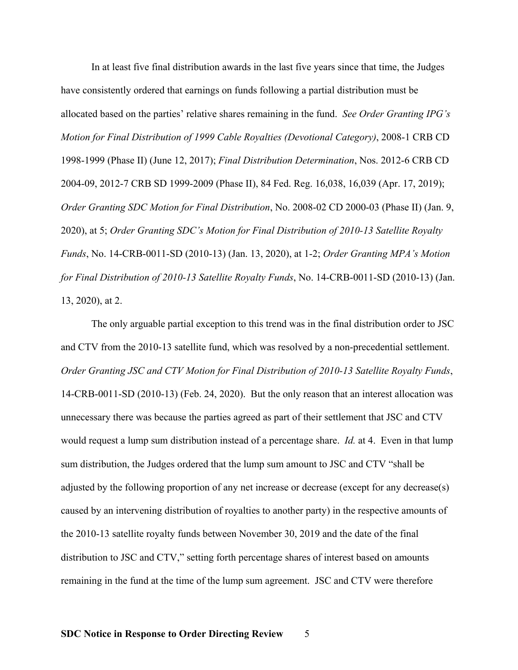In at least five final distribution awards in the last five years since that time, the Judges have consistently ordered that earnings on funds following a partial distribution must be allocated based on the parties' relative shares remaining in the fund. *See Order Granting IPG's Motion for Final Distribution of 1999 Cable Royalties (Devotional Category)*, 2008-1 CRB CD 1998-1999 (Phase II) (June 12, 2017); *Final Distribution Determination*, Nos. 2012-6 CRB CD 2004-09, 2012-7 CRB SD 1999-2009 (Phase II), 84 Fed. Reg. 16,038, 16,039 (Apr. 17, 2019); *Order Granting SDC Motion for Final Distribution*, No. 2008-02 CD 2000-03 (Phase II) (Jan. 9, 2020), at 5; *Order Granting SDC's Motion for Final Distribution of 2010-13 Satellite Royalty Funds*, No. 14-CRB-0011-SD (2010-13) (Jan. 13, 2020), at 1-2; *Order Granting MPA's Motion for Final Distribution of 2010-13 Satellite Royalty Funds*, No. 14-CRB-0011-SD (2010-13) (Jan. 13, 2020), at 2.

 The only arguable partial exception to this trend was in the final distribution order to JSC and CTV from the 2010-13 satellite fund, which was resolved by a non-precedential settlement. *Order Granting JSC and CTV Motion for Final Distribution of 2010-13 Satellite Royalty Funds*, 14-CRB-0011-SD (2010-13) (Feb. 24, 2020). But the only reason that an interest allocation was unnecessary there was because the parties agreed as part of their settlement that JSC and CTV would request a lump sum distribution instead of a percentage share. *Id.* at 4. Even in that lump sum distribution, the Judges ordered that the lump sum amount to JSC and CTV "shall be adjusted by the following proportion of any net increase or decrease (except for any decrease(s) caused by an intervening distribution of royalties to another party) in the respective amounts of the 2010-13 satellite royalty funds between November 30, 2019 and the date of the final distribution to JSC and CTV," setting forth percentage shares of interest based on amounts remaining in the fund at the time of the lump sum agreement. JSC and CTV were therefore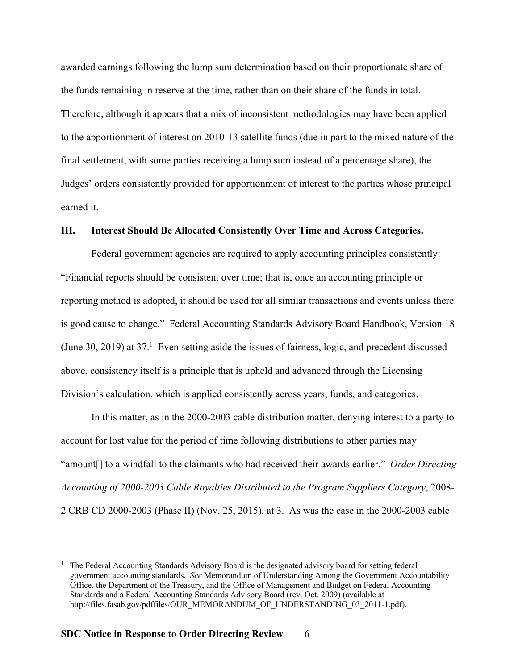awarded earnings following the lump sum determination based on their proportionate share of the funds remaining in reserve at the time, rather than on their share of the funds in total. Therefore, although it appears that a mix of inconsistent methodologies may have been applied to the apportionment of interest on 2010-13 satellite funds (due in part to the mixed nature of the final settlement, with some parties receiving a lump sum instead of a percentage share), the Judges' orders consistently provided for apportionment of interest to the parties whose principal earned it.

#### **III. Interest Should Be Allocated Consistently Over Time and Across Categories.**

 Federal government agencies are required to apply accounting principles consistently: "Financial reports should be consistent over time; that is, once an accounting principle or reporting method is adopted, it should be used for all similar transactions and events unless there is good cause to change." Federal Accounting Standards Advisory Board Handbook, Version 18 (June 30, 2019) at  $37<sup>1</sup>$  Even setting aside the issues of fairness, logic, and precedent discussed above, consistency itself is a principle that is upheld and advanced through the Licensing Division's calculation, which is applied consistently across years, funds, and categories.

 In this matter, as in the 2000-2003 cable distribution matter, denying interest to a party to account for lost value for the period of time following distributions to other parties may "amount[] to a windfall to the claimants who had received their awards earlier." *Order Directing Accounting of 2000-2003 Cable Royalties Distributed to the Program Suppliers Category*, 2008- 2 CRB CD 2000-2003 (Phase II) (Nov. 25, 2015), at 3. As was the case in the 2000-2003 cable

 $\overline{a}$ 

<sup>1</sup> The Federal Accounting Standards Advisory Board is the designated advisory board for setting federal government accounting standards. *See* Memorandum of Understanding Among the Government Accountability Office, the Department of the Treasury, and the Office of Management and Budget on Federal Accounting Standards and a Federal Accounting Standards Advisory Board (rev. Oct. 2009) (available at http://files.fasab.gov/pdffiles/OUR\_MEMORANDUM\_OF\_UNDERSTANDING\_03\_2011-1.pdf).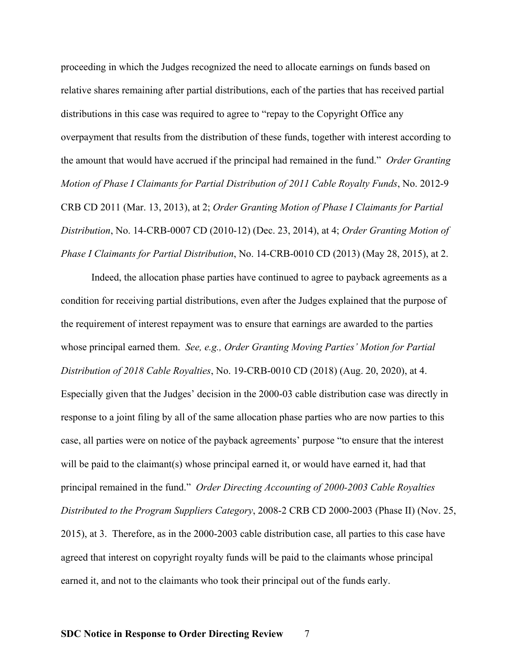proceeding in which the Judges recognized the need to allocate earnings on funds based on relative shares remaining after partial distributions, each of the parties that has received partial distributions in this case was required to agree to "repay to the Copyright Office any overpayment that results from the distribution of these funds, together with interest according to the amount that would have accrued if the principal had remained in the fund." *Order Granting Motion of Phase I Claimants for Partial Distribution of 2011 Cable Royalty Funds*, No. 2012-9 CRB CD 2011 (Mar. 13, 2013), at 2; *Order Granting Motion of Phase I Claimants for Partial Distribution*, No. 14-CRB-0007 CD (2010-12) (Dec. 23, 2014), at 4; *Order Granting Motion of Phase I Claimants for Partial Distribution*, No. 14-CRB-0010 CD (2013) (May 28, 2015), at 2.

 Indeed, the allocation phase parties have continued to agree to payback agreements as a condition for receiving partial distributions, even after the Judges explained that the purpose of the requirement of interest repayment was to ensure that earnings are awarded to the parties whose principal earned them. *See, e.g., Order Granting Moving Parties' Motion for Partial Distribution of 2018 Cable Royalties*, No. 19-CRB-0010 CD (2018) (Aug. 20, 2020), at 4. Especially given that the Judges' decision in the 2000-03 cable distribution case was directly in response to a joint filing by all of the same allocation phase parties who are now parties to this case, all parties were on notice of the payback agreements' purpose "to ensure that the interest will be paid to the claimant(s) whose principal earned it, or would have earned it, had that principal remained in the fund." *Order Directing Accounting of 2000-2003 Cable Royalties Distributed to the Program Suppliers Category*, 2008-2 CRB CD 2000-2003 (Phase II) (Nov. 25, 2015), at 3. Therefore, as in the 2000-2003 cable distribution case, all parties to this case have agreed that interest on copyright royalty funds will be paid to the claimants whose principal earned it, and not to the claimants who took their principal out of the funds early.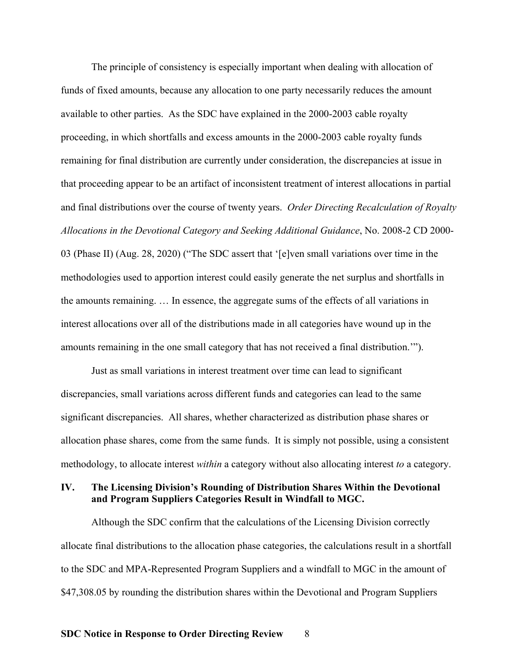The principle of consistency is especially important when dealing with allocation of funds of fixed amounts, because any allocation to one party necessarily reduces the amount available to other parties. As the SDC have explained in the 2000-2003 cable royalty proceeding, in which shortfalls and excess amounts in the 2000-2003 cable royalty funds remaining for final distribution are currently under consideration, the discrepancies at issue in that proceeding appear to be an artifact of inconsistent treatment of interest allocations in partial and final distributions over the course of twenty years. *Order Directing Recalculation of Royalty Allocations in the Devotional Category and Seeking Additional Guidance*, No. 2008-2 CD 2000- 03 (Phase II) (Aug. 28, 2020) ("The SDC assert that '[e]ven small variations over time in the methodologies used to apportion interest could easily generate the net surplus and shortfalls in the amounts remaining. … In essence, the aggregate sums of the effects of all variations in interest allocations over all of the distributions made in all categories have wound up in the amounts remaining in the one small category that has not received a final distribution.'").

 Just as small variations in interest treatment over time can lead to significant discrepancies, small variations across different funds and categories can lead to the same significant discrepancies. All shares, whether characterized as distribution phase shares or allocation phase shares, come from the same funds. It is simply not possible, using a consistent methodology, to allocate interest *within* a category without also allocating interest *to* a category.

#### **IV. The Licensing Division's Rounding of Distribution Shares Within the Devotional and Program Suppliers Categories Result in Windfall to MGC.**

 Although the SDC confirm that the calculations of the Licensing Division correctly allocate final distributions to the allocation phase categories, the calculations result in a shortfall to the SDC and MPA-Represented Program Suppliers and a windfall to MGC in the amount of \$47,308.05 by rounding the distribution shares within the Devotional and Program Suppliers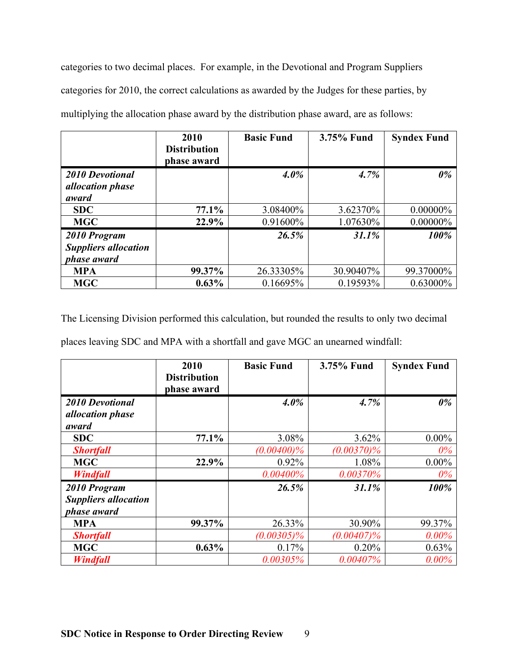categories to two decimal places. For example, in the Devotional and Program Suppliers categories for 2010, the correct calculations as awarded by the Judges for these parties, by multiplying the allocation phase award by the distribution phase award, are as follows:

|                                                            | 2010<br><b>Distribution</b><br>phase award | <b>Basic Fund</b> | 3.75% Fund | <b>Syndex Fund</b> |
|------------------------------------------------------------|--------------------------------------------|-------------------|------------|--------------------|
| <b>2010 Devotional</b><br><i>allocation phase</i>          |                                            | $4.0\%$           | 4.7%       | $0\%$              |
| award                                                      |                                            |                   |            |                    |
| <b>SDC</b>                                                 | 77.1%                                      | 3.08400\%         | 3.62370%   | $0.00000\%$        |
| <b>MGC</b>                                                 | 22.9%                                      | 0.91600%          | 1.07630%   | $0.00000\%$        |
| 2010 Program<br><b>Suppliers allocation</b><br>phase award |                                            | 26.5%             | 31.1%      | 100%               |
| <b>MPA</b>                                                 | 99.37%                                     | 26.33305%         | 30.90407%  | 99.37000%          |
| <b>MGC</b>                                                 | $0.63\%$                                   | 0.16695%          | 0.19593%   | $0.63000\%$        |

The Licensing Division performed this calculation, but rounded the results to only two decimal

places leaving SDC and MPA with a shortfall and gave MGC an unearned windfall:

|                             | 2010                               | <b>Basic Fund</b> | 3.75% Fund    | <b>Syndex Fund</b> |
|-----------------------------|------------------------------------|-------------------|---------------|--------------------|
|                             | <b>Distribution</b><br>phase award |                   |               |                    |
|                             |                                    |                   |               |                    |
| <b>2010 Devotional</b>      |                                    | $4.0\%$           | 4.7%          | $0\%$              |
| <i>allocation phase</i>     |                                    |                   |               |                    |
| award                       |                                    |                   |               |                    |
| <b>SDC</b>                  | 77.1%                              | 3.08%             | 3.62%         | $0.00\%$           |
| <b>Shortfall</b>            |                                    | $(0.00400)\%$     | $(0.00370)\%$ | $0\%$              |
| <b>MGC</b>                  | 22.9%                              | 0.92%             | 1.08%         | $0.00\%$           |
| <b>Windfall</b>             |                                    | 0.00400%          | 0.00370%      | $0\%$              |
| 2010 Program                |                                    | 26.5%             | 31.1%         | 100%               |
| <b>Suppliers allocation</b> |                                    |                   |               |                    |
| phase award                 |                                    |                   |               |                    |
| <b>MPA</b>                  | 99.37%                             | 26.33%            | 30.90%        | 99.37%             |
| <b>Shortfall</b>            |                                    | $(0.00305)\%$     | $(0.00407)\%$ | $0.00\%$           |
| <b>MGC</b>                  | $0.63\%$                           | 0.17%             | 0.20%         | 0.63%              |
| <b>Windfall</b>             |                                    | 0.00305%          | $0.00407\%$   | $0.00\%$           |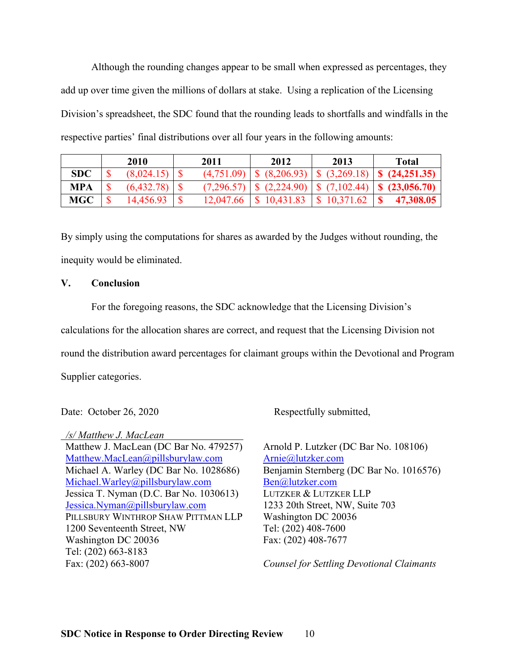Although the rounding changes appear to be small when expressed as percentages, they add up over time given the millions of dollars at stake. Using a replication of the Licensing Division's spreadsheet, the SDC found that the rounding leads to shortfalls and windfalls in the respective parties' final distributions over all four years in the following amounts:

|            | 2010       | 2011       | 2012                    | 2013                    | Total                                                                                                                                                                                                     |
|------------|------------|------------|-------------------------|-------------------------|-----------------------------------------------------------------------------------------------------------------------------------------------------------------------------------------------------------|
| <b>SDC</b> | (8,024.15) | (4,751.09) |                         |                         | $\left  \begin{array}{c} \text{\$} \end{array} \right $ (8,206.93) $\left  \begin{array}{c} \text{\$} \end{array} \right $ (3,269.18) $\left  \begin{array}{c} \text{\$} \end{array} \right $ (24,251.35) |
| <b>MPA</b> | (6,432.78) | (7,296.57) |                         |                         | $\left  \begin{array}{cc} \text{\$} & (2,224.90) & \text{\$} & (7,102.44) & \text{\$} & (23,056.70) \end{array} \right $                                                                                  |
| <b>MGC</b> | 14,456.93  | 12,047.66  | $\frac{1}{2}$ 10,431.83 | $\frac{1}{2}$ 10,371.62 | 47,308.05                                                                                                                                                                                                 |

By simply using the computations for shares as awarded by the Judges without rounding, the inequity would be eliminated.

#### **V. Conclusion**

 For the foregoing reasons, the SDC acknowledge that the Licensing Division's calculations for the allocation shares are correct, and request that the Licensing Division not round the distribution award percentages for claimant groups within the Devotional and Program Supplier categories.

 */s/ Matthew J. MacLean*  Matthew J. MacLean (DC Bar No. 479257) Matthew.MacLean@pillsburylaw.com Michael A. Warley (DC Bar No. 1028686) Michael.Warley@pillsburylaw.com Jessica T. Nyman (D.C. Bar No. 1030613) Jessica.Nyman@pillsburylaw.com PILLSBURY WINTHROP SHAW PITTMAN LLP 1200 Seventeenth Street, NW Washington DC 20036 Tel: (202) 663-8183 Fax: (202) 663-8007

Date: October 26, 2020 Respectfully submitted,

Arnold P. Lutzker (DC Bar No. 108106) Arnie@lutzker.com Benjamin Sternberg (DC Bar No. 1016576) Ben@lutzker.com LUTZKER & LUTZKER LLP 1233 20th Street, NW, Suite 703 Washington DC 20036 Tel: (202) 408-7600 Fax: (202) 408-7677

*Counsel for Settling Devotional Claimants*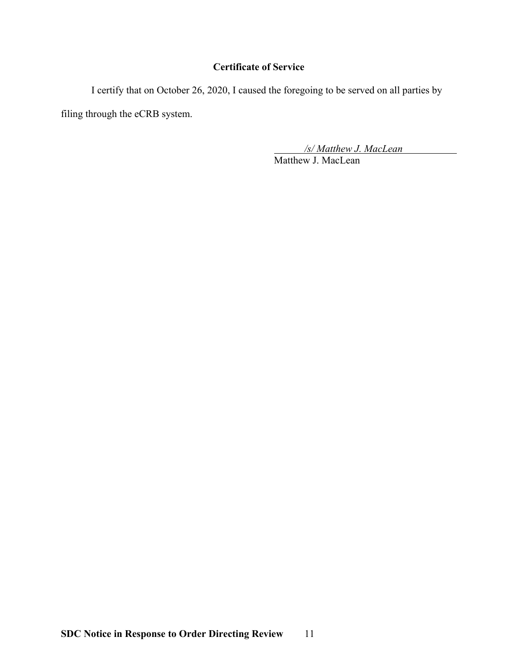# **Certificate of Service**

 I certify that on October 26, 2020, I caused the foregoing to be served on all parties by filing through the eCRB system.

> */s/ Matthew J. MacLean*  Matthew J. MacLean